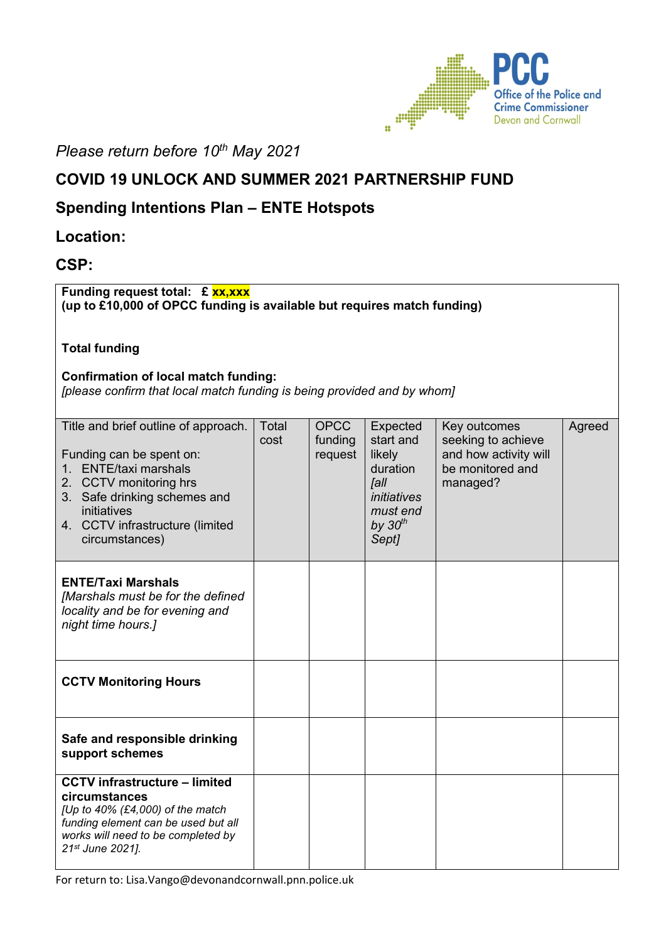

*Please return before 10th May 2021*

# **COVID 19 UNLOCK AND SUMMER 2021 PARTNERSHIP FUND**

## **Spending Intentions Plan – ENTE Hotspots**

## **Location:**

## **CSP:**

**Funding request total: £ xx,xxx (up to £10,000 of OPCC funding is available but requires match funding)** 

**Total funding** 

#### **Confirmation of local match funding:**

*[please confirm that local match funding is being provided and by whom]*

| Title and brief outline of approach.<br>Funding can be spent on:<br><b>ENTE/taxi marshals</b><br>$1_{-}$<br>2. CCTV monitoring hrs<br>3. Safe drinking schemes and<br>initiatives<br>4. CCTV infrastructure (limited<br>circumstances) | <b>Total</b><br>cost | <b>OPCC</b><br>funding<br>request | Expected<br>start and<br>likely<br>duration<br><b>Jall</b><br>initiatives<br>must end<br>by $30th$<br>Sept] | Key outcomes<br>seeking to achieve<br>and how activity will<br>be monitored and<br>managed? | Agreed |
|----------------------------------------------------------------------------------------------------------------------------------------------------------------------------------------------------------------------------------------|----------------------|-----------------------------------|-------------------------------------------------------------------------------------------------------------|---------------------------------------------------------------------------------------------|--------|
| <b>ENTE/Taxi Marshals</b><br>[Marshals must be for the defined<br>locality and be for evening and<br>night time hours.]                                                                                                                |                      |                                   |                                                                                                             |                                                                                             |        |
| <b>CCTV Monitoring Hours</b>                                                                                                                                                                                                           |                      |                                   |                                                                                                             |                                                                                             |        |
| Safe and responsible drinking<br>support schemes                                                                                                                                                                                       |                      |                                   |                                                                                                             |                                                                                             |        |
| <b>CCTV infrastructure - limited</b><br>circumstances<br>[Up to 40% (£4,000) of the match<br>funding element can be used but all<br>works will need to be completed by<br>21st June 2021].                                             |                      |                                   |                                                                                                             |                                                                                             |        |

For return to: Lisa.Vango@devonandcornwall.pnn.police.uk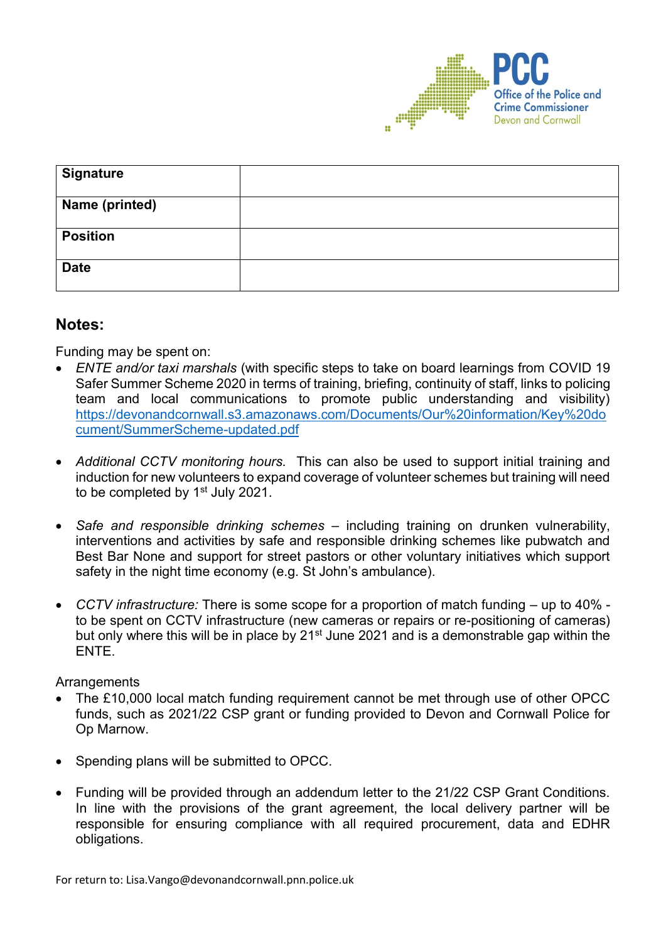

| <b>Signature</b> |  |
|------------------|--|
| Name (printed)   |  |
| <b>Position</b>  |  |
| <b>Date</b>      |  |

#### **Notes:**

Funding may be spent on:

- *ENTE and/or taxi marshals* (with specific steps to take on board learnings from COVID 19 Safer Summer Scheme 2020 in terms of training, briefing, continuity of staff, links to policing team and local communications to promote public understanding and visibility) [https://devonandcornwall.s3.amazonaws.com/Documents/Our%20information/Key%20do](https://devonandcornwall.s3.amazonaws.com/Documents/Our%20information/Key%20document/SummerScheme-updated.pdf) [cument/SummerScheme-updated.pdf](https://devonandcornwall.s3.amazonaws.com/Documents/Our%20information/Key%20document/SummerScheme-updated.pdf)
- *Additional CCTV monitoring hours.* This can also be used to support initial training and induction for new volunteers to expand coverage of volunteer schemes but training will need to be completed by 1<sup>st</sup> July 2021.
- *Safe and responsible drinking schemes* including training on drunken vulnerability, interventions and activities by safe and responsible drinking schemes like pubwatch and Best Bar None and support for street pastors or other voluntary initiatives which support safety in the night time economy (e.g. St John's ambulance).
- *CCTV infrastructure:* There is some scope for a proportion of match funding up to 40% to be spent on CCTV infrastructure (new cameras or repairs or re-positioning of cameras) but only where this will be in place by 21<sup>st</sup> June 2021 and is a demonstrable gap within the ENTE.

**Arrangements** 

- The £10,000 local match funding requirement cannot be met through use of other OPCC funds, such as 2021/22 CSP grant or funding provided to Devon and Cornwall Police for Op Marnow.
- Spending plans will be submitted to OPCC.
- Funding will be provided through an addendum letter to the 21/22 CSP Grant Conditions. In line with the provisions of the grant agreement, the local delivery partner will be responsible for ensuring compliance with all required procurement, data and EDHR obligations.